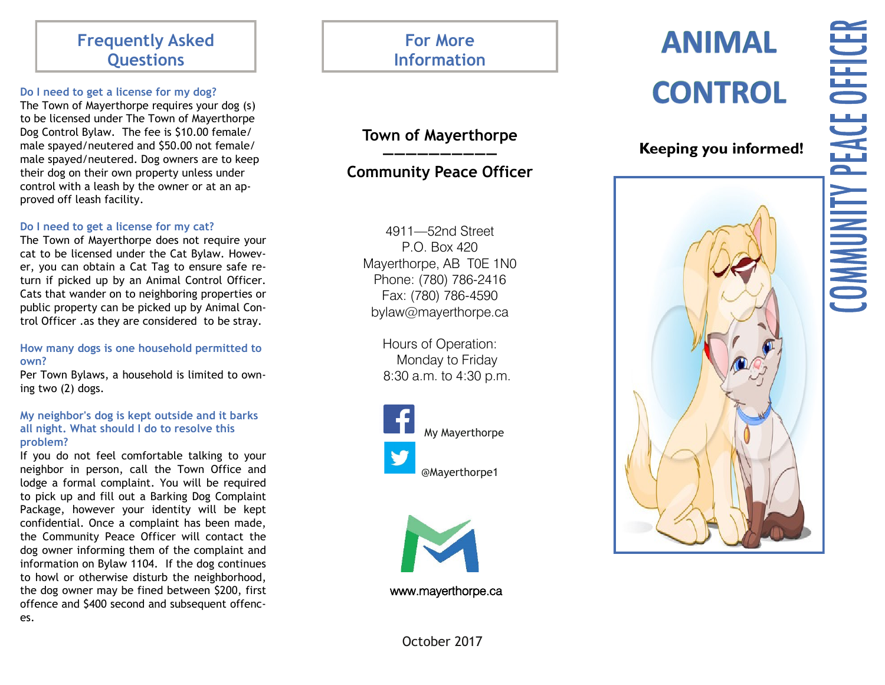# **Frequently Asked Questions**

## **Do I need to get a license for my dog?**

The Town of Mayerthorpe requires your dog (s) to be licensed under The Town of Mayerthorpe Dog Control Bylaw. The fee is \$10.00 female/ male spayed/neutered and \$50.00 not female/ male spayed/neutered. Dog owners are to keep their dog on their own property unless under control with a leash by the owner or at an approved off leash facility.

# **Do I need to get a license for my cat?**

The Town of Mayerthorpe does not require your cat to be licensed under the Cat Bylaw. However, you can obtain a Cat Tag to ensure safe return if picked up by an Animal Control Officer. Cats that wander on to neighboring properties or public property can be picked up by Animal Control Officer .as they are considered to be stray.

# **How many dogs is one household permitted to own?**

Per Town Bylaws, a household is limited to owning two (2) dogs.

# **My neighbor's dog is kept outside and it barks all night. What should I do to resolve this problem?**

If you do not feel comfortable talking to your neighbor in person, call the Town Office and lodge a formal complaint. You will be required to pick up and fill out a Barking Dog Complaint Package, however your identity will be kept confidential. Once a complaint has been made, the Community Peace Officer will contact the dog owner informing them of the complaint and information on Bylaw 1104. If the dog continues to howl or otherwise disturb the neighborhood, the dog owner may be fined between \$200, first offence and \$400 second and subsequent offences.

# **For More Information**

# **Town of Mayerthorpe ——————————**

# **Community Peace Officer**

4911 —52nd Street P.O. Box 420 Mayerthorpe, AB T0E 1N0 Phone: (780) 786 -2416 Fax: (780) 786 -4590 bylaw@mayerthorpe.ca

> Hours of Operation: Monday to Friday 8:30 a.m. to 4:30 p.m.





www.mayerthorpe.ca

# **ANIMAL CONTROL**

**Keeping you informed!**

# **COMMUNITY PEACE OFFICER**



October 2017